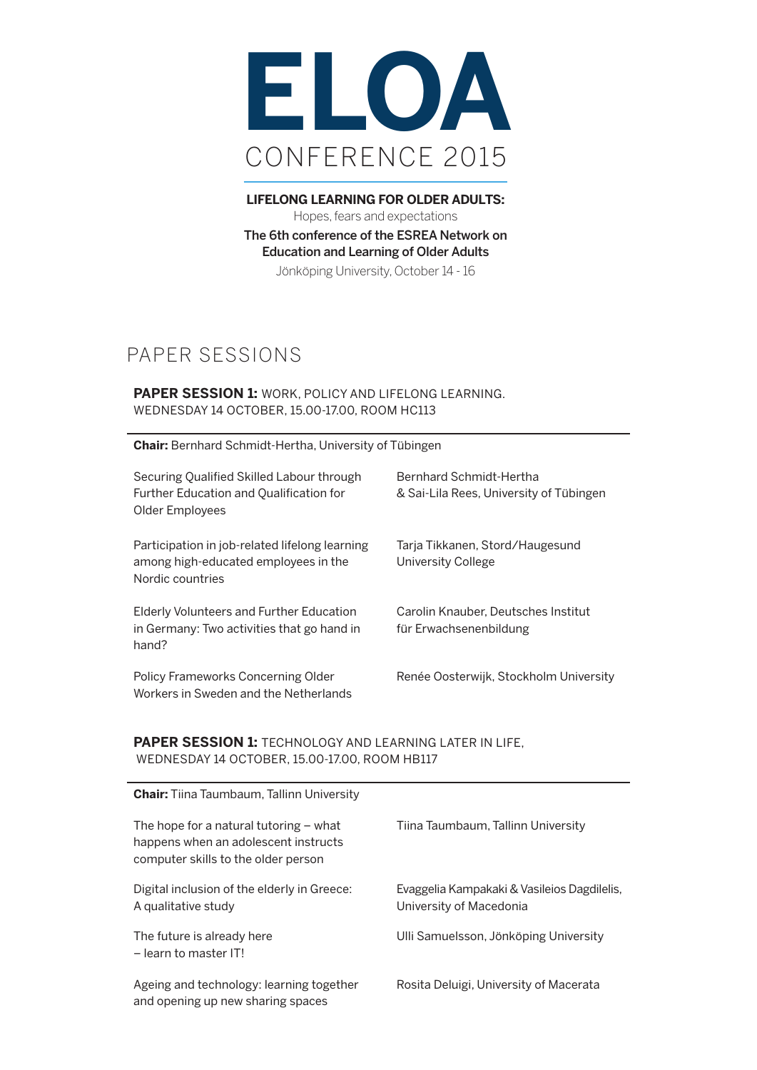

**LIFELONG LEARNING FOR OLDER ADULTS:** Hopes, fears and expectations The 6th conference of the ESREA Network on Education and Learning of Older Adults Jönköping University, October 14 - 16

# PAPER SESSIONS

# **PAPER SESSION 1:** WORK, POLICY AND LIFELONG LEARNING. WEDNESDAY 14 OCTOBER, 15.00-17.00, ROOM HC113

**Chair:** Bernhard Schmidt-Hertha, University of Tübingen

| Securing Qualified Skilled Labour through<br>Further Education and Qualification for<br>Older Employees    | Bernhard Schmidt-Hertha<br>& Sai-Lila Rees, University of Tübingen |
|------------------------------------------------------------------------------------------------------------|--------------------------------------------------------------------|
| Participation in job-related lifelong learning<br>among high-educated employees in the<br>Nordic countries | Tarja Tikkanen, Stord/Haugesund<br>University College              |
| Elderly Volunteers and Further Education<br>in Germany: Two activities that go hand in<br>hand?            | Carolin Knauber, Deutsches Institut<br>für Erwachsenenbildung      |
| Policy Frameworks Concerning Older<br>Workers in Sweden and the Netherlands                                | Renée Oosterwijk, Stockholm University                             |

# **PAPER SESSION 1: TECHNOLOGY AND LEARNING LATER IN LIFE,** WEDNESDAY 14 OCTOBER, 15.00-17.00, ROOM HB117

| <b>Chair:</b> Tiina Taumbaum, Tallinn University                                                                        |                                                                        |
|-------------------------------------------------------------------------------------------------------------------------|------------------------------------------------------------------------|
| The hope for a natural tutoring $-$ what<br>happens when an adolescent instructs<br>computer skills to the older person | Tiina Taumbaum, Tallinn University                                     |
| Digital inclusion of the elderly in Greece:<br>A qualitative study                                                      | Evaggelia Kampakaki & Vasileios Dagdilelis,<br>University of Macedonia |
| The future is already here<br>$-$ learn to master IT!                                                                   | Ulli Samuelsson, Jönköping University                                  |
| Ageing and technology: learning together<br>and opening up new sharing spaces                                           | Rosita Deluigi, University of Macerata                                 |